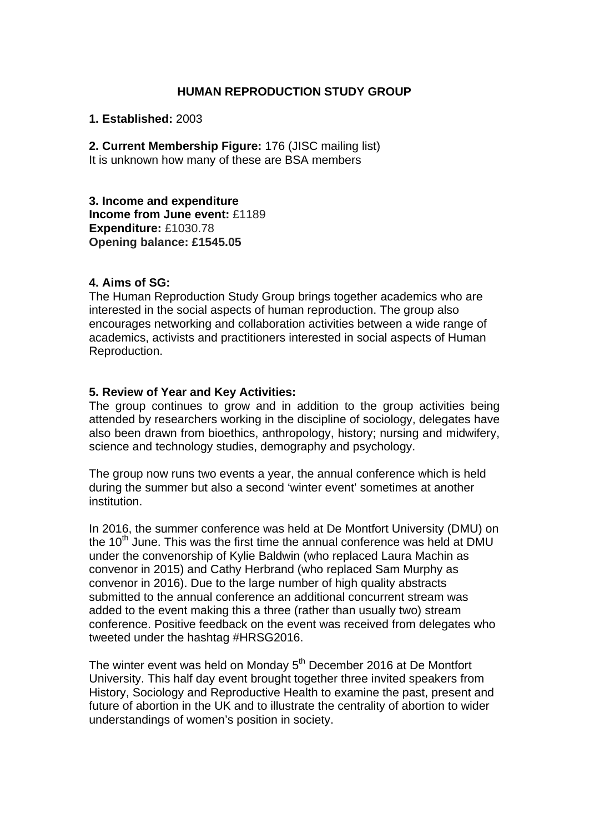### **HUMAN REPRODUCTION STUDY GROUP**

**1. Established:** 2003

**2. Current Membership Figure:** 176 (JISC mailing list) It is unknown how many of these are BSA members

**3. Income and expenditure Income from June event:** £1189 **Expenditure:** £1030.78 **Opening balance: £1545.05** 

### **4. Aims of SG:**

The Human Reproduction Study Group brings together academics who are interested in the social aspects of human reproduction. The group also encourages networking and collaboration activities between a wide range of academics, activists and practitioners interested in social aspects of Human Reproduction.

### **5. Review of Year and Key Activities:**

The group continues to grow and in addition to the group activities being attended by researchers working in the discipline of sociology, delegates have also been drawn from bioethics, anthropology, history; nursing and midwifery, science and technology studies, demography and psychology.

The group now runs two events a year, the annual conference which is held during the summer but also a second 'winter event' sometimes at another institution.

In 2016, the summer conference was held at De Montfort University (DMU) on the  $10<sup>th</sup>$  June. This was the first time the annual conference was held at DMU under the convenorship of Kylie Baldwin (who replaced Laura Machin as convenor in 2015) and Cathy Herbrand (who replaced Sam Murphy as convenor in 2016). Due to the large number of high quality abstracts submitted to the annual conference an additional concurrent stream was added to the event making this a three (rather than usually two) stream conference. Positive feedback on the event was received from delegates who tweeted under the hashtag #HRSG2016.

The winter event was held on Monday  $5<sup>th</sup>$  December 2016 at De Montfort University. This half day event brought together three invited speakers from History, Sociology and Reproductive Health to examine the past, present and future of abortion in the UK and to illustrate the centrality of abortion to wider understandings of women's position in society.